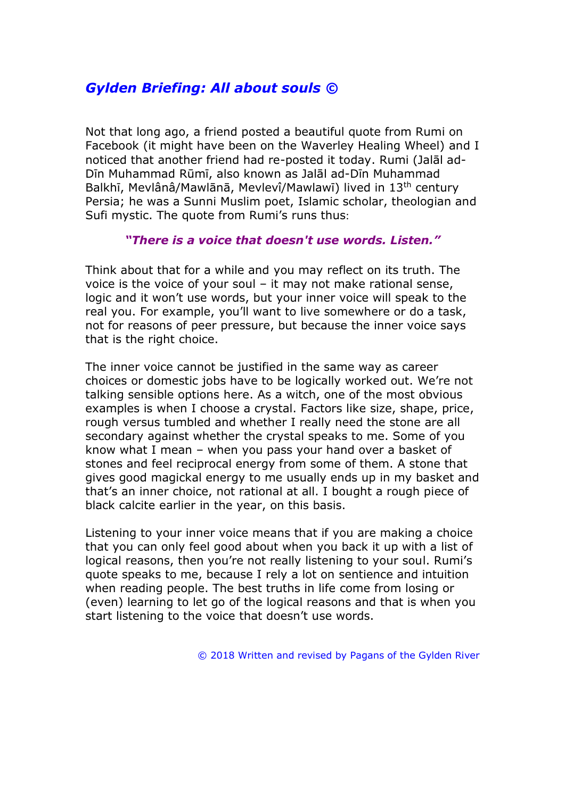## *Gylden Briefing: All about souls ©*

Not that long ago, a friend posted a beautiful quote from Rumi on Facebook (it might have been on the Waverley Healing Wheel) and I noticed that another friend had re-posted it today. Rumi (Jalāl ad-Dīn Muhammad Rūmī, also known as Jalāl ad-Dīn Muhammad Balkhī, Mevlânâ/Mawlānā, Mevlevî/Mawlawī) lived in 13<sup>th</sup> century Persia; he was a Sunni Muslim poet, Islamic scholar, theologian and Sufi mystic. The quote from Rumi's runs thus:

## *"There is a voice that doesn't use words. Listen."*

Think about that for a while and you may reflect on its truth. The voice is the voice of your soul – it may not make rational sense, logic and it won't use words, but your inner voice will speak to the real you. For example, you'll want to live somewhere or do a task, not for reasons of peer pressure, but because the inner voice says that is the right choice.

The inner voice cannot be justified in the same way as career choices or domestic jobs have to be logically worked out. We're not talking sensible options here. As a witch, one of the most obvious examples is when I choose a crystal. Factors like size, shape, price, rough versus tumbled and whether I really need the stone are all secondary against whether the crystal speaks to me. Some of you know what I mean – when you pass your hand over a basket of stones and feel reciprocal energy from some of them. A stone that gives good magickal energy to me usually ends up in my basket and that's an inner choice, not rational at all. I bought a rough piece of black calcite earlier in the year, on this basis.

Listening to your inner voice means that if you are making a choice that you can only feel good about when you back it up with a list of logical reasons, then you're not really listening to your soul. Rumi's quote speaks to me, because I rely a lot on sentience and intuition when reading people. The best truths in life come from losing or (even) learning to let go of the logical reasons and that is when you start listening to the voice that doesn't use words.

© 2018 Written and revised by Pagans of the Gylden River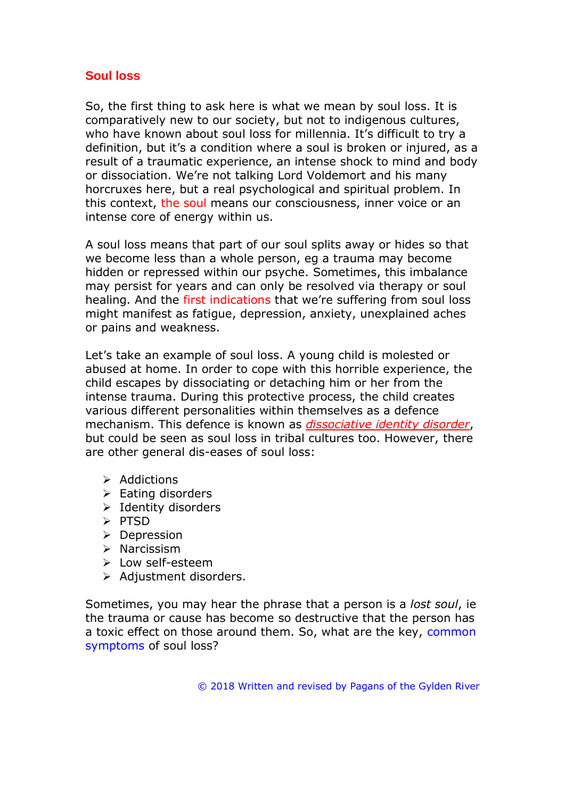## **Soul loss**

So, the first thing to ask here is what we mean by soul loss. It is comparatively new to our society, but not to indigenous cultures, who have known about soul loss for millennia. It's difficult to try a definition, but it's a condition where a soul is broken or injured, as a result of a traumatic experience, an intense shock to mind and body or dissociation. We're not talking Lord Voldemort and his many horcruxes here, but a real psychological and spiritual problem. In this context, the soul means our consciousness, inner voice or an intense core of energy within us.

A soul loss means that part of our soul splits away or hides so that we become less than a whole person, eg a trauma may become hidden or repressed within our psyche. Sometimes, this imbalance may persist for years and can only be resolved via therapy or soul healing. And the first indications that we're suffering from soul loss might manifest as fatigue, depression, anxiety, unexplained aches or pains and weakness.

Let's take an example of soul loss. A young child is molested or abused at home. In order to cope with this horrible experience, the child escapes by dissociating or detaching him or her from the intense trauma. During this protective process, the child creates various different personalities within themselves as a defence mechanism. This defence is known as *dissociative identity disorder*, but could be seen as soul loss in tribal cultures too. However, there are other general dis-eases of soul loss:

- ➢ Addictions
- ➢ Eating disorders
- ➢ Identity disorders
- ➢ PTSD
- ➢ Depression
- ➢ Narcissism
- ➢ Low self-esteem
- ➢ Adjustment disorders.

Sometimes, you may hear the phrase that a person is a *lost soul*, ie the trauma or cause has become so destructive that the person has a toxic effect on those around them. So, what are the key, common symptoms of soul loss?

© 2018 Written and revised by Pagans of the Gylden River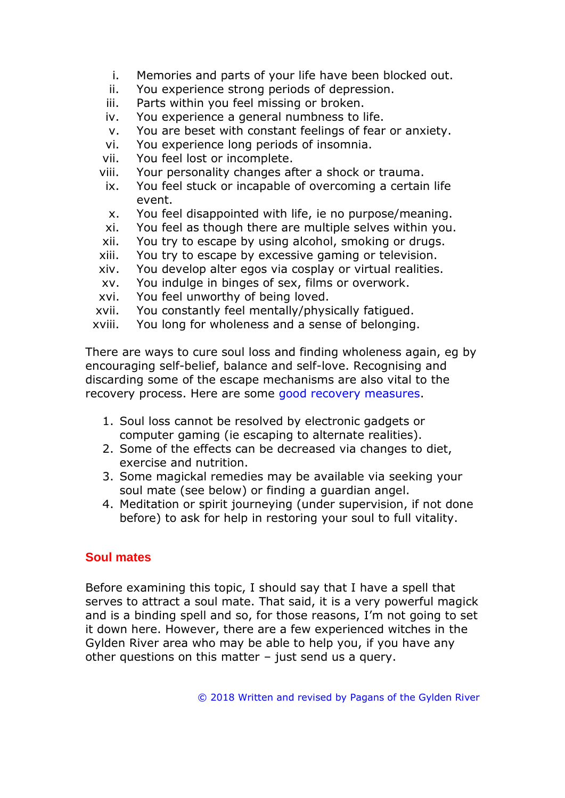- i. Memories and parts of your life have been blocked out.
- ii. You experience strong periods of depression.
- iii. Parts within you feel missing or broken.
- iv. You experience a general numbness to life.
- v. You are beset with constant feelings of fear or anxiety.
- vi. You experience long periods of insomnia.
- vii. You feel lost or incomplete.
- viii. Your personality changes after a shock or trauma.
- ix. You feel stuck or incapable of overcoming a certain life event.
- x. You feel disappointed with life, ie no purpose/meaning.
- xi. You feel as though there are multiple selves within you.
- xii. You try to escape by using alcohol, smoking or drugs.
- xiii. You try to escape by excessive gaming or television.
- xiv. You develop alter egos via cosplay or virtual realities.
- xv. You indulge in binges of sex, films or overwork.
- xvi. You feel unworthy of being loved.
- xvii. You constantly feel mentally/physically fatigued.
- xviii. You long for wholeness and a sense of belonging.

There are ways to cure soul loss and finding wholeness again, eg by encouraging self-belief, balance and self-love. Recognising and discarding some of the escape mechanisms are also vital to the recovery process. Here are some good recovery measures.

- 1. Soul loss cannot be resolved by electronic gadgets or computer gaming (ie escaping to alternate realities).
- 2. Some of the effects can be decreased via changes to diet, exercise and nutrition.
- 3. Some magickal remedies may be available via seeking your soul mate (see below) or finding a guardian angel.
- 4. Meditation or spirit journeying (under supervision, if not done before) to ask for help in restoring your soul to full vitality.

## **Soul mates**

Before examining this topic, I should say that I have a spell that serves to attract a soul mate. That said, it is a very powerful magick and is a binding spell and so, for those reasons, I'm not going to set it down here. However, there are a few experienced witches in the Gylden River area who may be able to help you, if you have any other questions on this matter – just send us a query.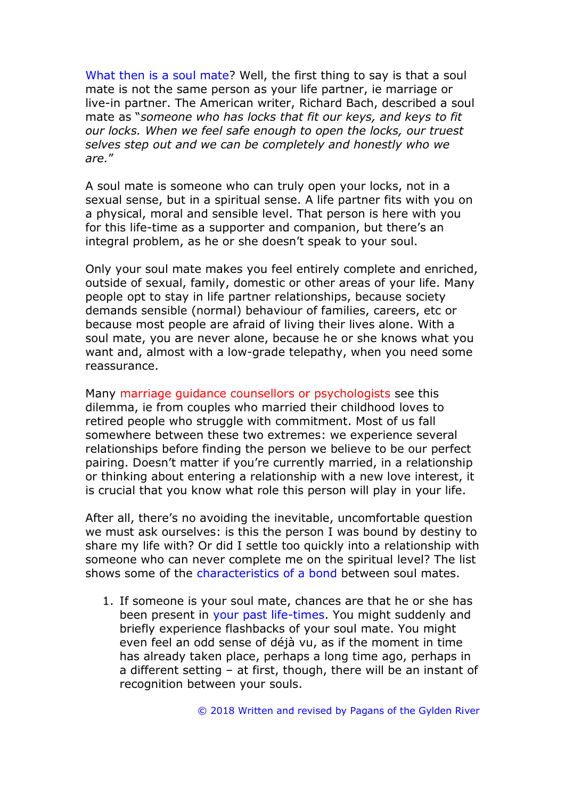What then is a soul mate? Well, the first thing to say is that a soul mate is not the same person as your life partner, ie marriage or live-in partner. The American writer, Richard Bach, described a soul mate as "*someone who has locks that fit our keys, and keys to fit our locks. When we feel safe enough to open the locks, our truest selves step out and we can be completely and honestly who we are.*"

A soul mate is someone who can truly open your locks, not in a sexual sense, but in a spiritual sense. A life partner fits with you on a physical, moral and sensible level. That person is here with you for this life-time as a supporter and companion, but there's an integral problem, as he or she doesn't speak to your soul.

Only your soul mate makes you feel entirely complete and enriched, outside of sexual, family, domestic or other areas of your life. Many people opt to stay in life partner relationships, because society demands sensible (normal) behaviour of families, careers, etc or because most people are afraid of living their lives alone. With a soul mate, you are never alone, because he or she knows what you want and, almost with a low-grade telepathy, when you need some reassurance.

Many marriage guidance counsellors or psychologists see this dilemma, ie from couples who married their childhood loves to retired people who struggle with commitment. Most of us fall somewhere between these two extremes: we experience several relationships before finding the person we believe to be our perfect pairing. Doesn't matter if you're currently married, in a relationship or thinking about entering a relationship with a new love interest, it is crucial that you know what role this person will play in your life.

After all, there's no avoiding the inevitable, uncomfortable question we must ask ourselves: is this the person I was bound by destiny to share my life with? Or did I settle too quickly into a relationship with someone who can never complete me on the spiritual level? The list shows some of the characteristics of a bond between soul mates.

1. If someone is your soul mate, chances are that he or she has been present in your past life-times. You might suddenly and briefly experience flashbacks of your soul mate. You might even feel an odd sense of déjà vu, as if the moment in time has already taken place, perhaps a long time ago, perhaps in a different setting – at first, though, there will be an instant of recognition between your souls.